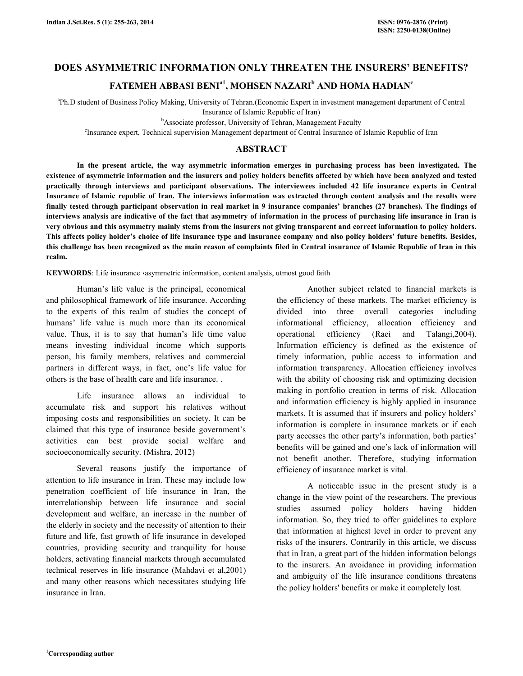# DOES ASYMMETRIC INFORMATION ONLY THREATEN THE INSURERS' BENEFITS?

# FATEMEH ABBASI BENI $^{\rm a}$ 1, MOHSEN NAZARI $^{\rm b}$  AND HOMA HADIAN $^{\rm c}$

a Ph.D student of Business Policy Making, University of Tehran.(Economic Expert in investment management department of Central Insurance of Islamic Republic of Iran)

<sup>b</sup>Associate professor, University of Tehran, Management Faculty

c Insurance expert, Technical supervision Management department of Central Insurance of Islamic Republic of Iran

# ABSTRACT

 In the present article, the way asymmetric information emerges in purchasing process has been investigated. The existence of asymmetric information and the insurers and policy holders benefits affected by which have been analyzed and tested practically through interviews and participant observations. The interviewees included 42 life insurance experts in Central Insurance of Islamic republic of Iran. The interviews information was extracted through content analysis and the results were finally tested through participant observation in real market in 9 insurance companies' branches (27 branches). The findings of interviews analysis are indicative of the fact that asymmetry of information in the process of purchasing life insurance in Iran is very obvious and this asymmetry mainly stems from the insurers not giving transparent and correct information to policy holders. This affects policy holder's choice of life insurance type and insurance company and also policy holders' future benefits. Besides, this challenge has been recognized as the main reason of complaints filed in Central insurance of Islamic Republic of Iran in this realm.

KEYWORDS: Life insurance «asymmetric information, content analysis, utmost good faith

 Human's life value is the principal, economical and philosophical framework of life insurance. According to the experts of this realm of studies the concept of humans' life value is much more than its economical value. Thus, it is to say that human's life time value means investing individual income which supports person, his family members, relatives and commercial partners in different ways, in fact, one's life value for others is the base of health care and life insurance. .

 Life insurance allows an individual to accumulate risk and support his relatives without imposing costs and responsibilities on society. It can be claimed that this type of insurance beside government's activities can best provide social welfare and socioeconomically security. (Mishra, 2012)

 Several reasons justify the importance of attention to life insurance in Iran. These may include low penetration coefficient of life insurance in Iran, the interrelationship between life insurance and social development and welfare, an increase in the number of the elderly in society and the necessity of attention to their future and life, fast growth of life insurance in developed countries, providing security and tranquility for house holders, activating financial markets through accumulated technical reserves in life insurance (Mahdavi et al,2001) and many other reasons which necessitates studying life insurance in Iran.

 Another subject related to financial markets is the efficiency of these markets. The market efficiency is divided into three overall categories including informational efficiency, allocation efficiency and operational efficiency (Raei and Talangi,2004). Information efficiency is defined as the existence of timely information, public access to information and information transparency. Allocation efficiency involves with the ability of choosing risk and optimizing decision making in portfolio creation in terms of risk. Allocation and information efficiency is highly applied in insurance markets. It is assumed that if insurers and policy holders' information is complete in insurance markets or if each party accesses the other party's information, both parties' benefits will be gained and one's lack of information will not benefit another. Therefore, studying information efficiency of insurance market is vital.

 A noticeable issue in the present study is a change in the view point of the researchers. The previous studies assumed policy holders having hidden information. So, they tried to offer guidelines to explore that information at highest level in order to prevent any risks of the insurers. Contrarily in this article, we discuss that in Iran, a great part of the hidden information belongs to the insurers. An avoidance in providing information and ambiguity of the life insurance conditions threatens the policy holders' benefits or make it completely lost.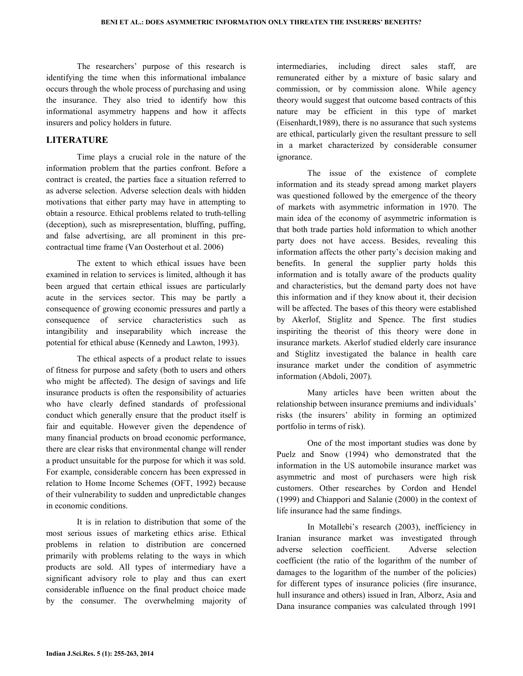The researchers' purpose of this research is identifying the time when this informational imbalance occurs through the whole process of purchasing and using the insurance. They also tried to identify how this informational asymmetry happens and how it affects insurers and policy holders in future.

# **LITERATURE**

 Time plays a crucial role in the nature of the information problem that the parties confront. Before a contract is created, the parties face a situation referred to as adverse selection. Adverse selection deals with hidden motivations that either party may have in attempting to obtain a resource. Ethical problems related to truth-telling (deception), such as misrepresentation, bluffing, puffing, and false advertising, are all prominent in this precontractual time frame (Van Oosterhout et al. 2006)

 The extent to which ethical issues have been examined in relation to services is limited, although it has been argued that certain ethical issues are particularly acute in the services sector. This may be partly a consequence of growing economic pressures and partly a consequence of service characteristics such as intangibility and inseparability which increase the potential for ethical abuse (Kennedy and Lawton, 1993).

 The ethical aspects of a product relate to issues of fitness for purpose and safety (both to users and others who might be affected). The design of savings and life insurance products is often the responsibility of actuaries who have clearly defined standards of professional conduct which generally ensure that the product itself is fair and equitable. However given the dependence of many financial products on broad economic performance, there are clear risks that environmental change will render a product unsuitable for the purpose for which it was sold. For example, considerable concern has been expressed in relation to Home Income Schemes (OFT, 1992) because of their vulnerability to sudden and unpredictable changes in economic conditions.

 It is in relation to distribution that some of the most serious issues of marketing ethics arise. Ethical problems in relation to distribution are concerned primarily with problems relating to the ways in which products are sold. All types of intermediary have a significant advisory role to play and thus can exert considerable influence on the final product choice made by the consumer. The overwhelming majority of intermediaries, including direct sales staff, are remunerated either by a mixture of basic salary and commission, or by commission alone. While agency theory would suggest that outcome based contracts of this nature may be efficient in this type of market (Eisenhardt,1989), there is no assurance that such systems are ethical, particularly given the resultant pressure to sell in a market characterized by considerable consumer ignorance.

 The issue of the existence of complete information and its steady spread among market players was questioned followed by the emergence of the theory of markets with asymmetric information in 1970. The main idea of the economy of asymmetric information is that both trade parties hold information to which another party does not have access. Besides, revealing this information affects the other party's decision making and benefits. In general the supplier party holds this information and is totally aware of the products quality and characteristics, but the demand party does not have this information and if they know about it, their decision will be affected. The bases of this theory were established by Akerlof, Stiglitz and Spence. The first studies inspiriting the theorist of this theory were done in insurance markets. Akerlof studied elderly care insurance and Stiglitz investigated the balance in health care insurance market under the condition of asymmetric information (Abdoli, 2007).

 Many articles have been written about the relationship between insurance premiums and individuals' risks (the insurers' ability in forming an optimized portfolio in terms of risk).

 One of the most important studies was done by Puelz and Snow (1994) who demonstrated that the information in the US automobile insurance market was asymmetric and most of purchasers were high risk customers. Other researches by Cordon and Hendel (1999) and Chiappori and Salanie (2000) in the context of life insurance had the same findings.

 In Motallebi's research (2003), inefficiency in Iranian insurance market was investigated through adverse selection coefficient. Adverse selection coefficient (the ratio of the logarithm of the number of damages to the logarithm of the number of the policies) for different types of insurance policies (fire insurance, hull insurance and others) issued in Iran, Alborz, Asia and Dana insurance companies was calculated through 1991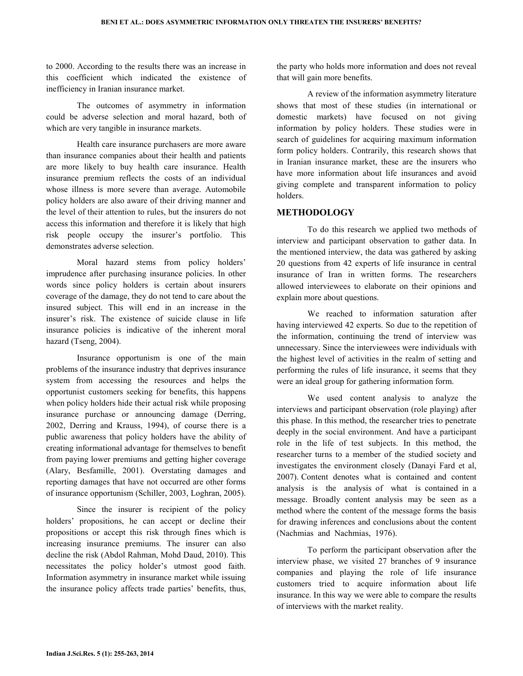to 2000. According to the results there was an increase in this coefficient which indicated the existence of inefficiency in Iranian insurance market.

 The outcomes of asymmetry in information could be adverse selection and moral hazard, both of which are very tangible in insurance markets.

 Health care insurance purchasers are more aware than insurance companies about their health and patients are more likely to buy health care insurance. Health insurance premium reflects the costs of an individual whose illness is more severe than average. Automobile policy holders are also aware of their driving manner and the level of their attention to rules, but the insurers do not access this information and therefore it is likely that high risk people occupy the insurer's portfolio. This demonstrates adverse selection.

 Moral hazard stems from policy holders' imprudence after purchasing insurance policies. In other words since policy holders is certain about insurers coverage of the damage, they do not tend to care about the insured subject. This will end in an increase in the insurer's risk. The existence of suicide clause in life insurance policies is indicative of the inherent moral hazard (Tseng, 2004).

 Insurance opportunism is one of the main problems of the insurance industry that deprives insurance system from accessing the resources and helps the opportunist customers seeking for benefits, this happens when policy holders hide their actual risk while proposing insurance purchase or announcing damage (Derring, 2002, Derring and Krauss, 1994), of course there is a public awareness that policy holders have the ability of creating informational advantage for themselves to benefit from paying lower premiums and getting higher coverage (Alary, Besfamille, 2001). Overstating damages and reporting damages that have not occurred are other forms of insurance opportunism (Schiller, 2003, Loghran, 2005).

 Since the insurer is recipient of the policy holders' propositions, he can accept or decline their propositions or accept this risk through fines which is increasing insurance premiums. The insurer can also decline the risk (Abdol Rahman, Mohd Daud, 2010). This necessitates the policy holder's utmost good faith. Information asymmetry in insurance market while issuing the insurance policy affects trade parties' benefits, thus, the party who holds more information and does not reveal that will gain more benefits.

 A review of the information asymmetry literature shows that most of these studies (in international or domestic markets) have focused on not giving information by policy holders. These studies were in search of guidelines for acquiring maximum information form policy holders. Contrarily, this research shows that in Iranian insurance market, these are the insurers who have more information about life insurances and avoid giving complete and transparent information to policy holders.

# METHODOLOGY

 To do this research we applied two methods of interview and participant observation to gather data. In the mentioned interview, the data was gathered by asking 20 questions from 42 experts of life insurance in central insurance of Iran in written forms. The researchers allowed interviewees to elaborate on their opinions and explain more about questions.

 We reached to information saturation after having interviewed 42 experts. So due to the repetition of the information, continuing the trend of interview was unnecessary. Since the interviewees were individuals with the highest level of activities in the realm of setting and performing the rules of life insurance, it seems that they were an ideal group for gathering information form.

 We used content analysis to analyze the interviews and participant observation (role playing) after this phase. In this method, the researcher tries to penetrate deeply in the social environment. And have a participant role in the life of test subjects. In this method, the researcher turns to a member of the studied society and investigates the environment closely (Danayi Fard et al, 2007). Content denotes what is contained and content analysis is the analysis of what is contained in a message. Broadly content analysis may be seen as a method where the content of the message forms the basis for drawing inferences and conclusions about the content (Nachmias and Nachmias, 1976).

 To perform the participant observation after the interview phase, we visited 27 branches of 9 insurance companies and playing the role of life insurance customers tried to acquire information about life insurance. In this way we were able to compare the results of interviews with the market reality.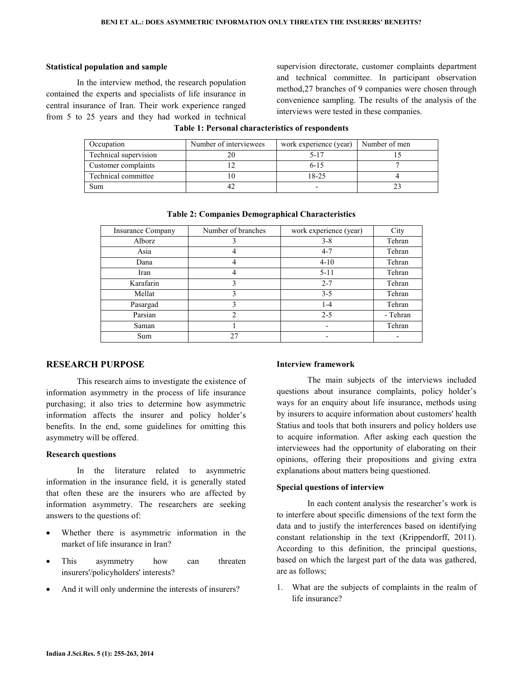### Statistical population and sample

 In the interview method, the research population contained the experts and specialists of life insurance in central insurance of Iran. Their work experience ranged from 5 to 25 years and they had worked in technical supervision directorate, customer complaints department and technical committee. In participant observation method,27 branches of 9 companies were chosen through convenience sampling. The results of the analysis of the interviews were tested in these companies.

| Occupation            | Number of interviewees | work experience (year) | Number of men |
|-----------------------|------------------------|------------------------|---------------|
| Technical supervision |                        | 5-17                   |               |
| Customer complaints   |                        | $6 - 15$               |               |
| Technical committee   |                        | 18-25                  |               |
| Sum                   |                        |                        |               |

### Table 1: Personal characteristics of respondents

| <b>Insurance Company</b> | Number of branches | work experience (year) | City     |
|--------------------------|--------------------|------------------------|----------|
| Alborz                   |                    | $3 - 8$                | Tehran   |
| Asia                     |                    | $4 - 7$                | Tehran   |
| Dana                     | 4                  | $4 - 10$               | Tehran   |
| Iran                     |                    | $5 - 11$               | Tehran   |
| Karafarin                | 3                  | $2 - 7$                | Tehran   |
| Mellat                   | 3                  | $3 - 5$                | Tehran   |
| Pasargad                 | 3                  | $1 - 4$                | Tehran   |
| Parsian                  | 2                  | $2 - 5$                | - Tehran |
| Saman                    |                    |                        | Tehran   |
| Sum                      | 27                 |                        |          |

#### Table 2: Companies Demographical Characteristics

# RESEARCH PURPOSE

 This research aims to investigate the existence of information asymmetry in the process of life insurance purchasing; it also tries to determine how asymmetric information affects the insurer and policy holder's benefits. In the end, some guidelines for omitting this asymmetry will be offered.

#### Research questions

 In the literature related to asymmetric information in the insurance field, it is generally stated that often these are the insurers who are affected by information asymmetry. The researchers are seeking answers to the questions of:

- Whether there is asymmetric information in the market of life insurance in Iran?
- This asymmetry how can threaten insurers'/policyholders' interests?
- And it will only undermine the interests of insurers?

#### Interview framework

 The main subjects of the interviews included questions about insurance complaints, policy holder's ways for an enquiry about life insurance, methods using by insurers to acquire information about customers' health Statius and tools that both insurers and policy holders use to acquire information. After asking each question the interviewees had the opportunity of elaborating on their opinions, offering their propositions and giving extra explanations about matters being questioned.

#### Special questions of interview

 In each content analysis the researcher's work is to interfere about specific dimensions of the text form the data and to justify the interferences based on identifying constant relationship in the text (Krippendorff, 2011). According to this definition, the principal questions, based on which the largest part of the data was gathered, are as follows;

1. What are the subjects of complaints in the realm of life insurance?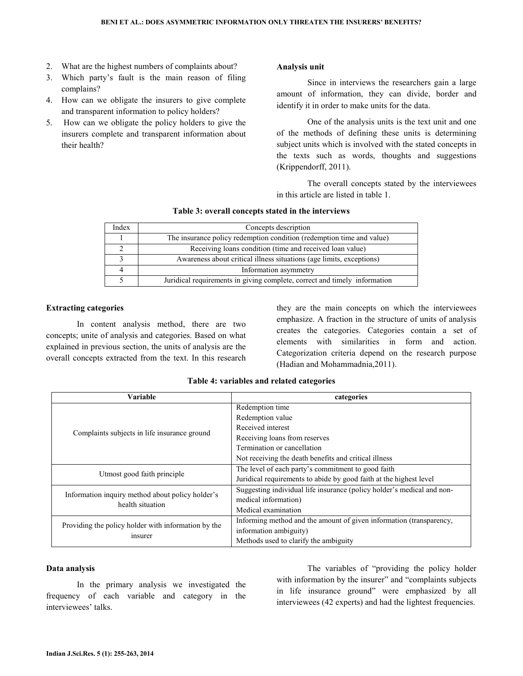- 2. What are the highest numbers of complaints about?
- 3. Which party's fault is the main reason of filing complains?
- 4. How can we obligate the insurers to give complete and transparent information to policy holders?
- 5. How can we obligate the policy holders to give the insurers complete and transparent information about their health?

### Analysis unit

 Since in interviews the researchers gain a large amount of information, they can divide, border and identify it in order to make units for the data.

 One of the analysis units is the text unit and one of the methods of defining these units is determining subject units which is involved with the stated concepts in the texts such as words, thoughts and suggestions (Krippendorff, 2011).

 The overall concepts stated by the interviewees in this article are listed in table 1.

| Index | Concepts description                                                      |
|-------|---------------------------------------------------------------------------|
|       | The insurance policy redemption condition (redemption time and value)     |
|       | Receiving loans condition (time and received loan value)                  |
|       | Awareness about critical illness situations (age limits, exceptions)      |
|       | Information asymmetry                                                     |
|       | Juridical requirements in giving complete, correct and timely information |

# Table 3: overall concepts stated in the interviews

#### Extracting categories

 In content analysis method, there are two concepts; unite of analysis and categories. Based on what explained in previous section, the units of analysis are the overall concepts extracted from the text. In this research they are the main concepts on which the interviewees emphasize. A fraction in the structure of units of analysis creates the categories. Categories contain a set of elements with similarities in form and action. Categorization criteria depend on the research purpose (Hadian and Mohammadnia,2011).

| Variable                                            | categories                                                             |  |
|-----------------------------------------------------|------------------------------------------------------------------------|--|
|                                                     | Redemption time                                                        |  |
| Complaints subjects in life insurance ground        | Redemption value                                                       |  |
|                                                     | Received interest                                                      |  |
|                                                     | Receiving loans from reserves                                          |  |
|                                                     | Termination or cancellation                                            |  |
|                                                     | Not receiving the death benefits and critical illness                  |  |
|                                                     | The level of each party's commitment to good faith                     |  |
| Utmost good faith principle                         | Juridical requirements to abide by good faith at the highest level     |  |
| Information inquiry method about policy holder's    | Suggesting individual life insurance (policy holder's medical and non- |  |
| health situation                                    | medical information)                                                   |  |
|                                                     | Medical examination                                                    |  |
| Providing the policy holder with information by the | Informing method and the amount of given information (transparency,    |  |
|                                                     | information ambiguity)                                                 |  |
| insurer                                             | Methods used to clarify the ambiguity                                  |  |

### Table 4: variables and related categories

#### Data analysis

 In the primary analysis we investigated the frequency of each variable and category in the interviewees' talks.

 The variables of "providing the policy holder with information by the insurer" and "complaints subjects in life insurance ground" were emphasized by all interviewees (42 experts) and had the lightest frequencies.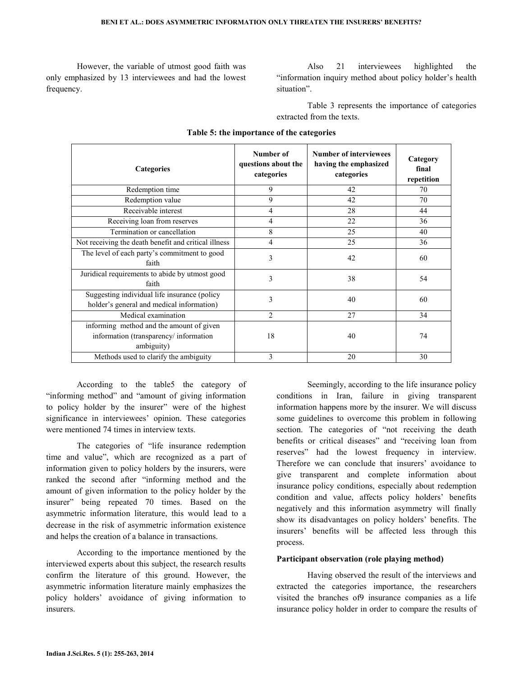However, the variable of utmost good faith was only emphasized by 13 interviewees and had the lowest frequency.

 Also 21 interviewees highlighted the "information inquiry method about policy holder's health situation".

 Table 3 represents the importance of categories extracted from the texts.

| <b>Categories</b>                                                                                | Number of<br>questions about the<br>categories | <b>Number of interviewees</b><br>having the emphasized<br>categories | Category<br>final<br>repetition |
|--------------------------------------------------------------------------------------------------|------------------------------------------------|----------------------------------------------------------------------|---------------------------------|
| Redemption time                                                                                  | 9                                              | 42                                                                   | 70                              |
| Redemption value                                                                                 | 9                                              | 42                                                                   | 70                              |
| Receivable interest                                                                              | 4                                              | 28                                                                   | 44                              |
| Receiving loan from reserves                                                                     | 4                                              | 22                                                                   | 36                              |
| Termination or cancellation                                                                      | 8                                              | 25                                                                   | 40                              |
| Not receiving the death benefit and critical illness                                             | $\overline{4}$                                 | 25                                                                   | 36                              |
| The level of each party's commitment to good<br>faith                                            | 3                                              | 42                                                                   | 60                              |
| Juridical requirements to abide by utmost good<br>faith                                          | 3                                              | 38                                                                   | 54                              |
| Suggesting individual life insurance (policy<br>holder's general and medical information)        | 3                                              | 40                                                                   | 60                              |
| Medical examination                                                                              | $\mathfrak{D}$                                 | 27                                                                   | 34                              |
| informing method and the amount of given<br>information (transparency/ information<br>ambiguity) | 18                                             | 40                                                                   | 74                              |
| Methods used to clarify the ambiguity                                                            | 3                                              | 20                                                                   | 30                              |

### Table 5: the importance of the categories

 According to the table5 the category of "informing method" and "amount of giving information to policy holder by the insurer" were of the highest significance in interviewees' opinion. These categories were mentioned 74 times in interview texts.

 The categories of "life insurance redemption time and value", which are recognized as a part of information given to policy holders by the insurers, were ranked the second after "informing method and the amount of given information to the policy holder by the insurer" being repeated 70 times. Based on the asymmetric information literature, this would lead to a decrease in the risk of asymmetric information existence and helps the creation of a balance in transactions.

 According to the importance mentioned by the interviewed experts about this subject, the research results confirm the literature of this ground. However, the asymmetric information literature mainly emphasizes the policy holders' avoidance of giving information to insurers.

 Seemingly, according to the life insurance policy conditions in Iran, failure in giving transparent information happens more by the insurer. We will discuss some guidelines to overcome this problem in following section. The categories of "not receiving the death benefits or critical diseases" and "receiving loan from reserves" had the lowest frequency in interview. Therefore we can conclude that insurers' avoidance to give transparent and complete information about insurance policy conditions, especially about redemption condition and value, affects policy holders' benefits negatively and this information asymmetry will finally show its disadvantages on policy holders' benefits. The insurers' benefits will be affected less through this process.

# Participant observation (role playing method)

 Having observed the result of the interviews and extracted the categories importance, the researchers visited the branches of9 insurance companies as a life insurance policy holder in order to compare the results of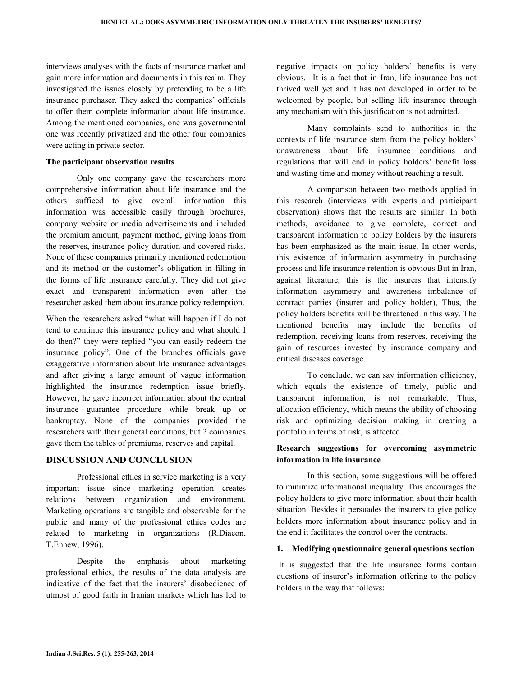interviews analyses with the facts of insurance market and gain more information and documents in this realm. They investigated the issues closely by pretending to be a life insurance purchaser. They asked the companies' officials to offer them complete information about life insurance. Among the mentioned companies, one was governmental one was recently privatized and the other four companies were acting in private sector.

#### The participant observation results

 Only one company gave the researchers more comprehensive information about life insurance and the others sufficed to give overall information this information was accessible easily through brochures, company website or media advertisements and included the premium amount, payment method, giving loans from the reserves, insurance policy duration and covered risks. None of these companies primarily mentioned redemption and its method or the customer's obligation in filling in the forms of life insurance carefully. They did not give exact and transparent information even after the researcher asked them about insurance policy redemption.

When the researchers asked "what will happen if I do not tend to continue this insurance policy and what should I do then?" they were replied "you can easily redeem the insurance policy". One of the branches officials gave exaggerative information about life insurance advantages and after giving a large amount of vague information highlighted the insurance redemption issue briefly. However, he gave incorrect information about the central insurance guarantee procedure while break up or bankruptcy. None of the companies provided the researchers with their general conditions, but 2 companies gave them the tables of premiums, reserves and capital.

### DISCUSSION AND CONCLUSION

 Professional ethics in service marketing is a very important issue since marketing operation creates relations between organization and environment. Marketing operations are tangible and observable for the public and many of the professional ethics codes are related to marketing in organizations (R.Diacon, T.Ennew, 1996).

 Despite the emphasis about marketing professional ethics, the results of the data analysis are indicative of the fact that the insurers' disobedience of utmost of good faith in Iranian markets which has led to

negative impacts on policy holders' benefits is very obvious. It is a fact that in Iran, life insurance has not thrived well yet and it has not developed in order to be welcomed by people, but selling life insurance through any mechanism with this justification is not admitted.

 Many complaints send to authorities in the contexts of life insurance stem from the policy holders' unawareness about life insurance conditions and regulations that will end in policy holders' benefit loss and wasting time and money without reaching a result.

 A comparison between two methods applied in this research (interviews with experts and participant observation) shows that the results are similar. In both methods, avoidance to give complete, correct and transparent information to policy holders by the insurers has been emphasized as the main issue. In other words, this existence of information asymmetry in purchasing process and life insurance retention is obvious But in Iran, against literature, this is the insurers that intensify information asymmetry and awareness imbalance of contract parties (insurer and policy holder), Thus, the policy holders benefits will be threatened in this way. The mentioned benefits may include the benefits of redemption, receiving loans from reserves, receiving the gain of resources invested by insurance company and critical diseases coverage.

 To conclude, we can say information efficiency, which equals the existence of timely, public and transparent information, is not remarkable. Thus, allocation efficiency, which means the ability of choosing risk and optimizing decision making in creating a portfolio in terms of risk, is affected.

# Research suggestions for overcoming asymmetric information in life insurance

 In this section, some suggestions will be offered to minimize informational inequality. This encourages the policy holders to give more information about their health situation. Besides it persuades the insurers to give policy holders more information about insurance policy and in the end it facilitates the control over the contracts.

### 1. Modifying questionnaire general questions section

 It is suggested that the life insurance forms contain questions of insurer's information offering to the policy holders in the way that follows: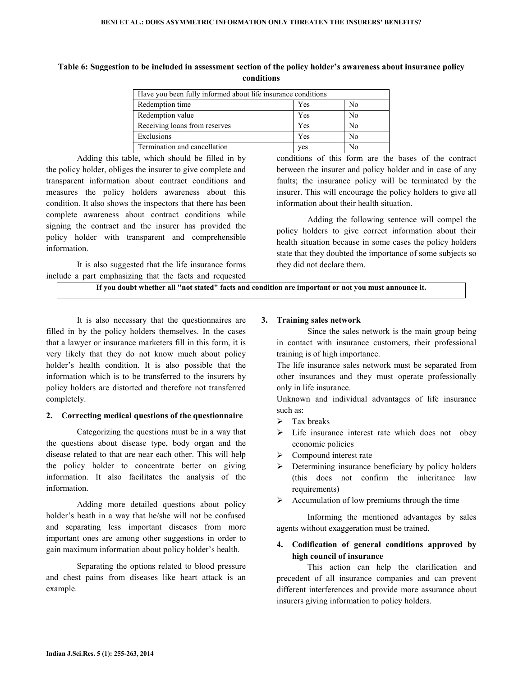| Table 6: Suggestion to be included in assessment section of the policy holder's awareness about insurance policy |
|------------------------------------------------------------------------------------------------------------------|
| conditions                                                                                                       |

| Have you been fully informed about life insurance conditions |     |    |
|--------------------------------------------------------------|-----|----|
| Redemption time                                              | Yes | No |
| Redemption value                                             | Yes | No |
| Receiving loans from reserves                                | Yes | No |
| Exclusions                                                   | Yes | No |
| Termination and cancellation                                 | yes | No |

 Adding this table, which should be filled in by the policy holder, obliges the insurer to give complete and transparent information about contract conditions and measures the policy holders awareness about this condition. It also shows the inspectors that there has been complete awareness about contract conditions while signing the contract and the insurer has provided the policy holder with transparent and comprehensible information.

 It is also suggested that the life insurance forms include a part emphasizing that the facts and requested

conditions of this form are the bases of the contract between the insurer and policy holder and in case of any faults; the insurance policy will be terminated by the insurer. This will encourage the policy holders to give all information about their health situation.

 Adding the following sentence will compel the policy holders to give correct information about their health situation because in some cases the policy holders state that they doubted the importance of some subjects so they did not declare them.

If you doubt whether all "not stated" facts and condition are important or not you must announce it.

 It is also necessary that the questionnaires are filled in by the policy holders themselves. In the cases that a lawyer or insurance marketers fill in this form, it is very likely that they do not know much about policy holder's health condition. It is also possible that the information which is to be transferred to the insurers by policy holders are distorted and therefore not transferred completely.

### 2. Correcting medical questions of the questionnaire

 Categorizing the questions must be in a way that the questions about disease type, body organ and the disease related to that are near each other. This will help the policy holder to concentrate better on giving information. It also facilitates the analysis of the information.

 Adding more detailed questions about policy holder's heath in a way that he/she will not be confused and separating less important diseases from more important ones are among other suggestions in order to gain maximum information about policy holder's health.

 Separating the options related to blood pressure and chest pains from diseases like heart attack is an example.

### 3. Training sales network

 Since the sales network is the main group being in contact with insurance customers, their professional training is of high importance.

The life insurance sales network must be separated from other insurances and they must operate professionally only in life insurance.

Unknown and individual advantages of life insurance such as:

- $\triangleright$  Tax breaks
- $\triangleright$  Life insurance interest rate which does not obey economic policies
- $\triangleright$  Compound interest rate
- Determining insurance beneficiary by policy holders (this does not confirm the inheritance law requirements)
- $\triangleright$  Accumulation of low premiums through the time

 Informing the mentioned advantages by sales agents without exaggeration must be trained.

# 4. Codification of general conditions approved by high council of insurance

 This action can help the clarification and precedent of all insurance companies and can prevent different interferences and provide more assurance about insurers giving information to policy holders.